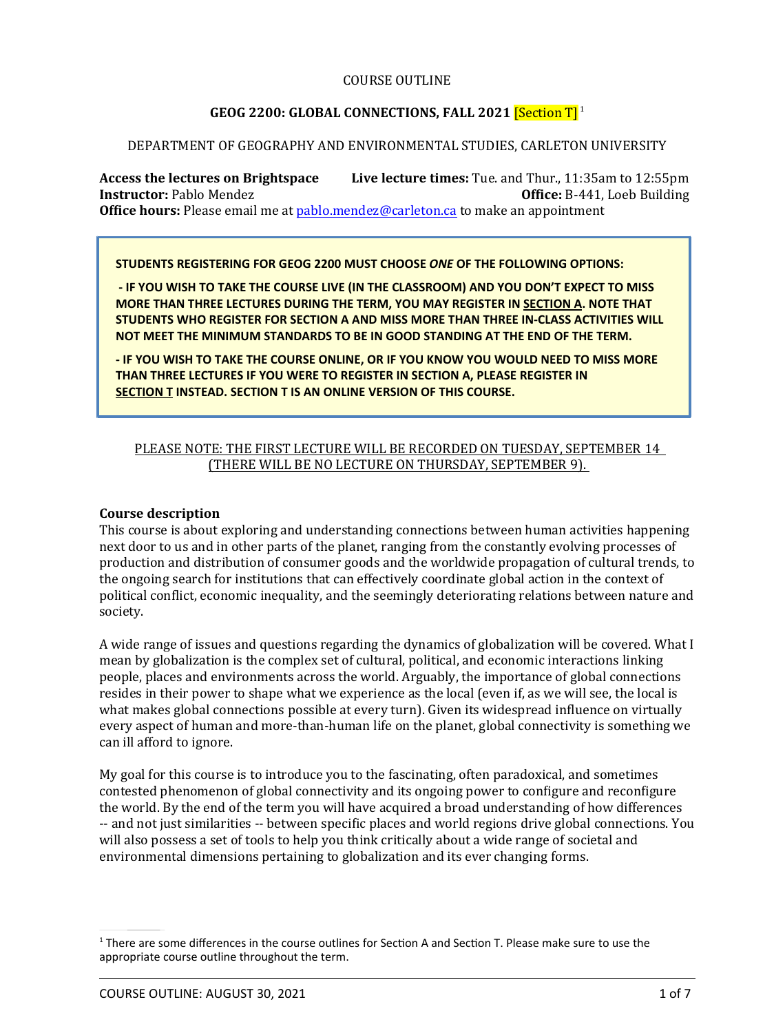### COURSE OUTLINE

# **GEOG 2200: GLOBAL CONNECTIONS, FALL 2021** [Section T] 1

#### DEPARTMENT OF GEOGRAPHY AND ENVIRONMENTAL STUDIES, CARLETON UNIVERSITY

**Access the lectures on Brightspace Live lecture times:** Tue. and Thur., 11:35am to 12:55pm **Instructor:** Pablo Mendez *Office:* **B-441, Loeb Building Ofϐice hours:** Please email me at pablo.mendez@carleton.ca to make an appointment

**STUDENTS REGISTERING FOR GEOG 2200 MUST CHOOSE** *ONE* **OF THE FOLLOWING OPTIONS:**

 **- IF YOU WISH TO TAKE THE COURSE LIVE (IN THE CLASSROOM) AND YOU DON'T EXPECT TO MISS MORE THAN THREE LECTURES DURING THE TERM, YOU MAY REGISTER IN SECTION A. NOTE THAT STUDENTS WHO REGISTER FOR SECTION A AND MISS MORE THAN THREE IN-CLASS ACTIVITIES WILL NOT MEET THE MINIMUM STANDARDS TO BE IN GOOD STANDING AT THE END OF THE TERM.**

**- IF YOU WISH TO TAKE THE COURSE ONLINE, OR IF YOU KNOW YOU WOULD NEED TO MISS MORE THAN THREE LECTURES IF YOU WERE TO REGISTER IN SECTION A, PLEASE REGISTER IN SECTION T INSTEAD. SECTION T IS AN ONLINE VERSION OF THIS COURSE.** 

# PLEASE NOTE: THE FIRST LECTURE WILL BE RECORDED ON TUESDAY, SEPTEMBER 1 4 (THERE WILL BE NO LECTURE ON THURSDAY, SEPTEMBER 9) .

#### **Course description**

This course is about exploring and understanding connections between human activities happening next door to us and in other parts of the planet, ranging from the constantly evolving processes of production and distribution of consumer goods and the worldwide propagation of cultural trends, to the ongoing search for institutions that can effectively coordinate global action in the context of political conflict, economic inequality, and the seemingly deteriorating relations between nature and society.

A wide range of issues and questions regarding the dynamics of globalization will be covered. What I mean by globalization is the complex set of cultural, political, and economic interactions linking people, places and environments across the world. Arguably, the importance of global connections resides in their power to shape what we experience as the local (even if, as we will see, the local is what makes global connections possible at every turn). Given its widespread influence on virtually every aspect of human and more-than-human life on the planet, global connectivity is something we can ill afford to ignore.

My goal for this course is to introduce you to the fascinating, often paradoxical, and sometimes contested phenomenon of global connectivity and its ongoing power to configure and reconfigure the world. By the end of the term you will have acquired a broad understanding of how differences -- and not just similarities -- between specific places and world regions drive global connections. You will also possess a set of tools to help you think critically about a wide range of societal and environmental dimensions pertaining to globalization and its ever changing forms.

 $1$  There are some differences in the course outlines for Section A and Section T. Please make sure to use the appropriate course outline throughout the term.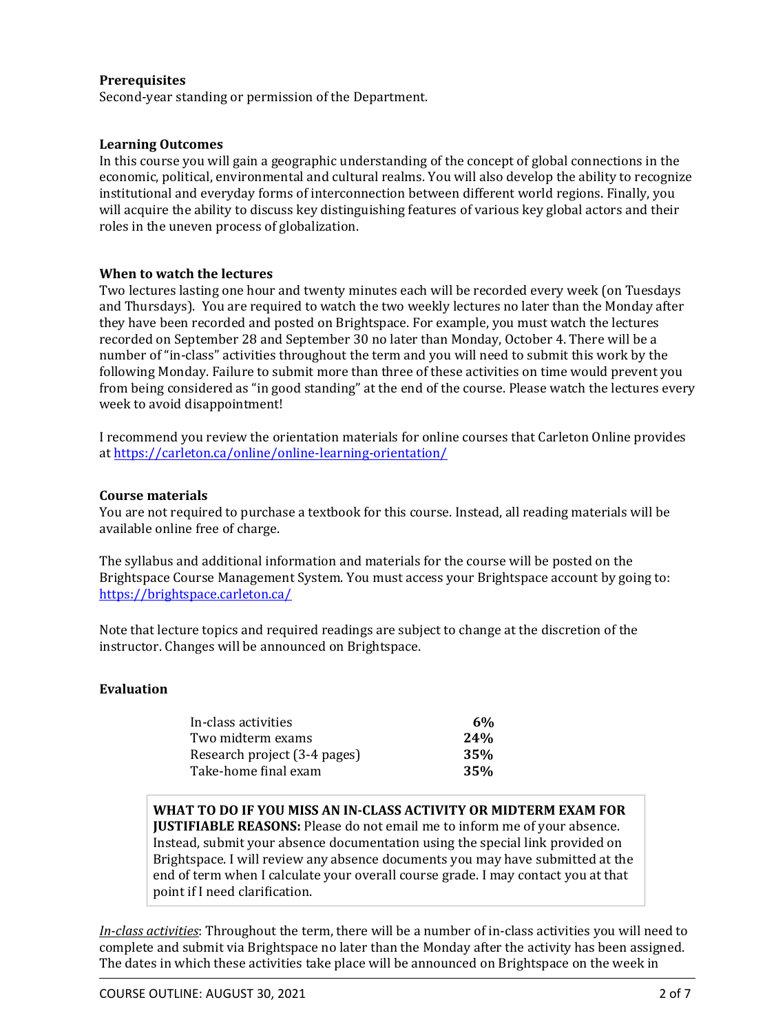# **Prerequisites**

Second-year standing or permission of the Department.

#### **Learning Outcomes**

In this course you will gain a geographic understanding of the concept of global connections in the economic, political, environmental and cultural realms. You will also develop the ability to recognize institutional and everyday forms of interconnection between different world regions. Finally, you will acquire the ability to discuss key distinguishing features of various key global actors and their roles in the uneven process of globalization.

#### **When to watch the lectures**

Two lectures lasting one hour and twenty minutes each will be recorded every week (on Tuesdays and Thursdays). You are required to watch the two weekly lectures no later than the Monday after they have been recorded and posted on Brightspace. For example, you must watch the lectures recorded on September 28 and September 30 no later than Monday, October 4. There will be a number of "in-class" activities throughout the term and you will need to submit this work by the following Monday. Failure to submit more than three of these activities on time would prevent you from being considered as "in good standing" at the end of the course. Please watch the lectures every week to avoid disappointment!

I recommend you review the orientation materials for online courses that Carleton Online provides at https://carleton.ca/online/online-learning-orientation/

#### **Course materials**

You are not required to purchase a textbook for this course. Instead, all reading materials will be available online free of charge.

The syllabus and additional information and materials for the course will be posted on the Brightspace Course Management System. You must access your Brightspace account by going to: https://brightspace.carleton.ca/

Note that lecture topics and required readings are subject to change at the discretion of the instructor. Changes will be announced on Brightspace.

## **Evaluation**

| In-class activities          | 6%  |
|------------------------------|-----|
| Two midterm exams            | 24% |
| Research project (3-4 pages) | 35% |
| Take-home final exam         | 35% |

**WHAT TO DO IF YOU MISS AN IN-CLASS ACTIVITY OR MIDTERM EXAM FOR JUSTIFIABLE REASONS:** Please do not email me to inform me of your absence. Instead, submit your absence documentation using the special link provided on Brightspace. I will review any absence documents you may have submitted at the end of term when I calculate your overall course grade. I may contact you at that point if I need clarification.

*In-class activities*: Throughout the term, there will be a number of in-class activities you will need to complete and submit via Brightspace no later than the Monday after the activity has been assigned. The dates in which these activities take place will be announced on Brightspace on the week in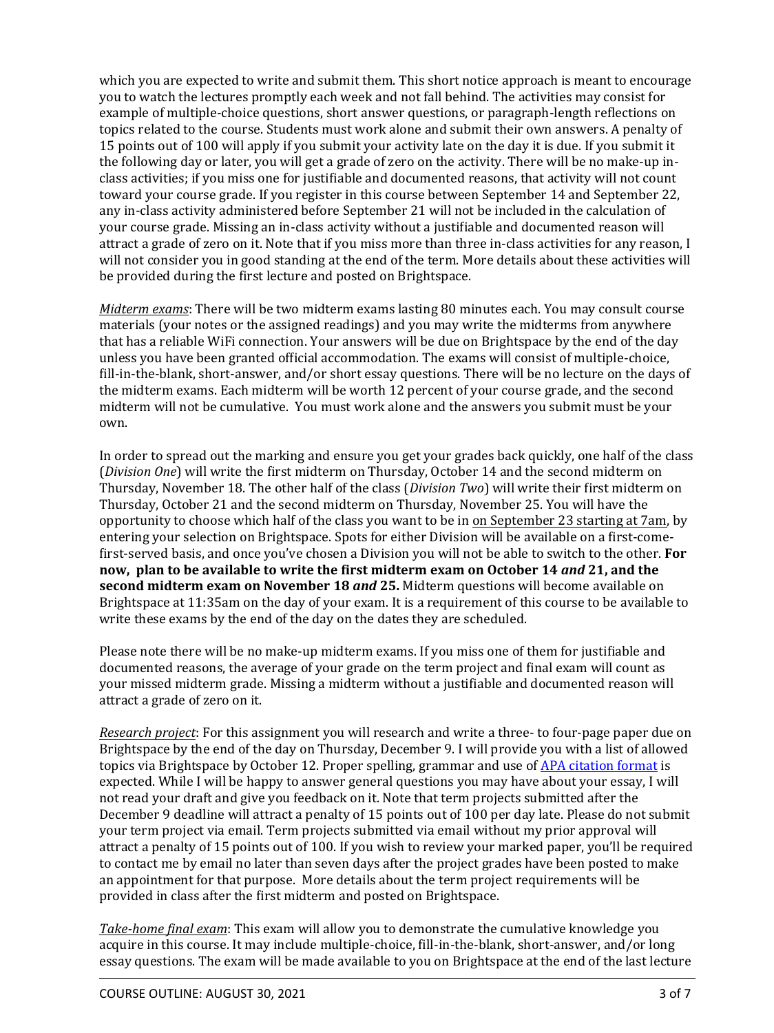which you are expected to write and submit them. This short notice approach is meant to encourage you to watch the lectures promptly each week and not fall behind. The activities may consist for example of multiple-choice questions, short answer questions, or paragraph-length reflections on topics related to the course. Students must work alone and submit their own answers. A penalty of 15 points out of 100 will apply if you submit your activity late on the day it is due. If you submit it the following day or later, you will get a grade of zero on the activity. There will be no make-up inclass activities; if you miss one for justifiable and documented reasons, that activity will not count toward your course grade. If you register in this course between September 14 and September 22, any in-class activity administered before September 21 will not be included in the calculation of your course grade. Missing an in-class activity without a justifiable and documented reason will attract a grade of zero on it. Note that if you miss more than three in-class activities for any reason, I will not consider you in good standing at the end of the term. More details about these activities will be provided during the first lecture and posted on Brightspace.

*Midterm exams*: There will be two midterm exams lasting 80 minutes each. You may consult course materials (your notes or the assigned readings) and you may write the midterms from anywhere that has a reliable WiFi connection. Your answers will be due on Brightspace by the end of the day unless you have been granted official accommodation. The exams will consist of multiple-choice, fill-in-the-blank, short-answer, and/or short essay questions. There will be no lecture on the days of the midterm exams. Each midterm will be worth 12 percent of your course grade, and the second midterm will not be cumulative. You must work alone and the answers you submit must be your own.

In order to spread out the marking and ensure you get your grades back quickly, one half of the class (*Division One*) will write the ϐirst midterm on Thursday, October 14 and the second midterm on Thursday, November 18. The other half of the class (*Division Two*) will write their first midterm on Thursday, October 21 and the second midterm on Thursday, November 25. You will have the opportunity to choose which half of the class you want to be in on September 23 starting at 7am, by entering your selection on Brightspace. Spots for either Division will be available on a first-comeϐirst-served basis, and once you've chosen a Division you will not be able to switch to the other. **For** now, plan to be available to write the first midterm exam on October 14 and 21, and the **second midterm exam on November 18** *and* **25.** Midterm questions will become available on Brightspace at 11:35am on the day of your exam. It is a requirement of this course to be available to write these exams by the end of the day on the dates they are scheduled.

Please note there will be no make-up midterm exams. If you miss one of them for justifiable and documented reasons, the average of your grade on the term project and final exam will count as your missed midterm grade. Missing a midterm without a justifiable and documented reason will attract a grade of zero on it.

 *Research project*: For this assignment you will research and write a three- to four-page paper due on Brightspace by the end of the day on Thursday, December 9. I will provide you with a list of allowed topics via Brightspace by October 12. Proper spelling, grammar and use of APA citation format is expected. While I will be happy to answer general questions you may have about your essay, I will not read your draft and give you feedback on it. Note that term projects submitted after the December 9 deadline will attract a penalty of 15 points out of 100 per day late. Please do not submit your term project via email. Term projects submitted via email without my prior approval will attract a penalty of 15 points out of 100. If you wish to review your marked paper, you'll be required to contact me by email no later than seven days after the project grades have been posted to make an appointment for that purpose. More details about the term project requirements will be provided in class after the first midterm and posted on Brightspace.

*Take-home final exam*: This exam will allow you to demonstrate the cumulative knowledge you acquire in this course. It may include multiple-choice, fill-in-the-blank, short-answer, and/or long essay questions. The exam will be made available to you on Brightspace at the end of the last lecture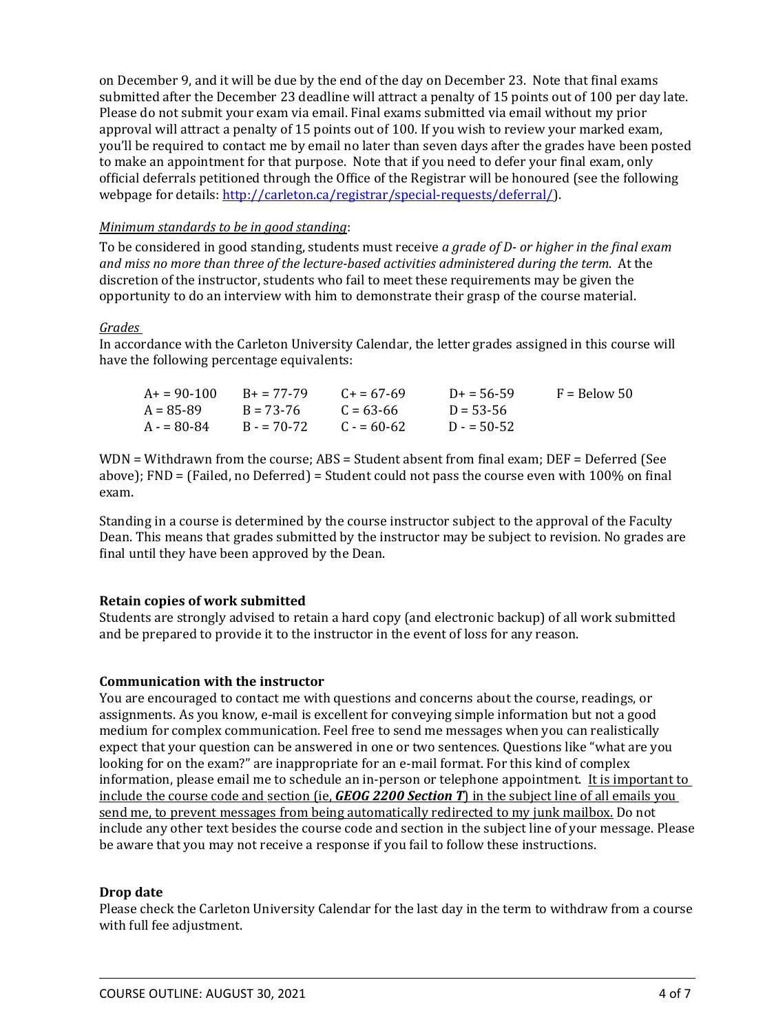on December 9, and it will be due by the end of the day on December 23. Note that final exams submitted after the December 23 deadline will attract a penalty of 15 points out of 100 per day late. Please do not submit your exam via email. Final exams submitted via email without my prior approval will attract a penalty of 15 points out of 100. If you wish to review your marked exam, you'll be required to contact me by email no later than seven days after the grades have been posted to make an appointment for that purpose. Note that if you need to defer your final exam, only official deferrals petitioned through the Office of the Registrar will be honoured (see the following webpage for details: http://carleton.ca/registrar/special-requests/deferral/).

# *Minimum standards to be in good standing*:

To be considered in good standing, students must receive *a grade of D- or higher in the ϔinal exam and miss no more than three of the lecture-based activities administered during the term*. At the discretion of the instructor, students who fail to meet these requirements may be given the opportunity to do an interview with him to demonstrate their grasp of the course material.

#### *Grades*

In accordance with the Carleton University Calendar, the letter grades assigned in this course will have the following percentage equivalents:

| A+ = 90-100   | $R_{+} = 77-79$ | $C_{\pm} = 67 - 69$ | $D_{+} = 56 - 59$ | $F =$ Below 50 |
|---------------|-----------------|---------------------|-------------------|----------------|
| A = 85-89     | $R = 73-76$     | $C = 63 - 66$       | $D = 53 - 56$     |                |
| $A = 80 - 84$ | $B = 70-72$     | $C = 60-62$         | $D = 50-52$       |                |

 $WDN = Withd$ rawn from the course;  $ABS = Student$  absent from final exam;  $DEF = Deferred$  (See above); FND = (Failed, no Deferred) = Student could not pass the course even with 100% on final exam.

Standing in a course is determined by the course instructor subject to the approval of the Faculty Dean. This means that grades submitted by the instructor may be subject to revision. No grades are final until they have been approved by the Dean.

## **Retain copies of work submitted**

Students are strongly advised to retain a hard copy (and electronic backup) of all work submitted and be prepared to provide it to the instructor in the event of loss for any reason.

## **Communication with the instructor**

You are encouraged to contact me with questions and concerns about the course, readings, or assignments. As you know, e-mail is excellent for conveying simple information but not a good medium for complex communication. Feel free to send me messages when you can realistically expect that your question can be answered in one or two sentences. Questions like "what are you looking for on the exam?" are inappropriate for an e-mail format. For this kind of complex information, please email me to schedule an in-person or telephone appointment. It is important to include the course code and section (ie, *GEOG 2200 Section T*) in the subject line of all emails you send me , to prevent messages from being automatically redirected to my junk mailbox. Do not include any other text besides the course code and section in the subject line of your message. Please be aware that you may not receive a response if you fail to follow these instructions.

## **Drop date**

Please check the Carleton University Calendar for the last day in the term to withdraw from a course with full fee adjustment.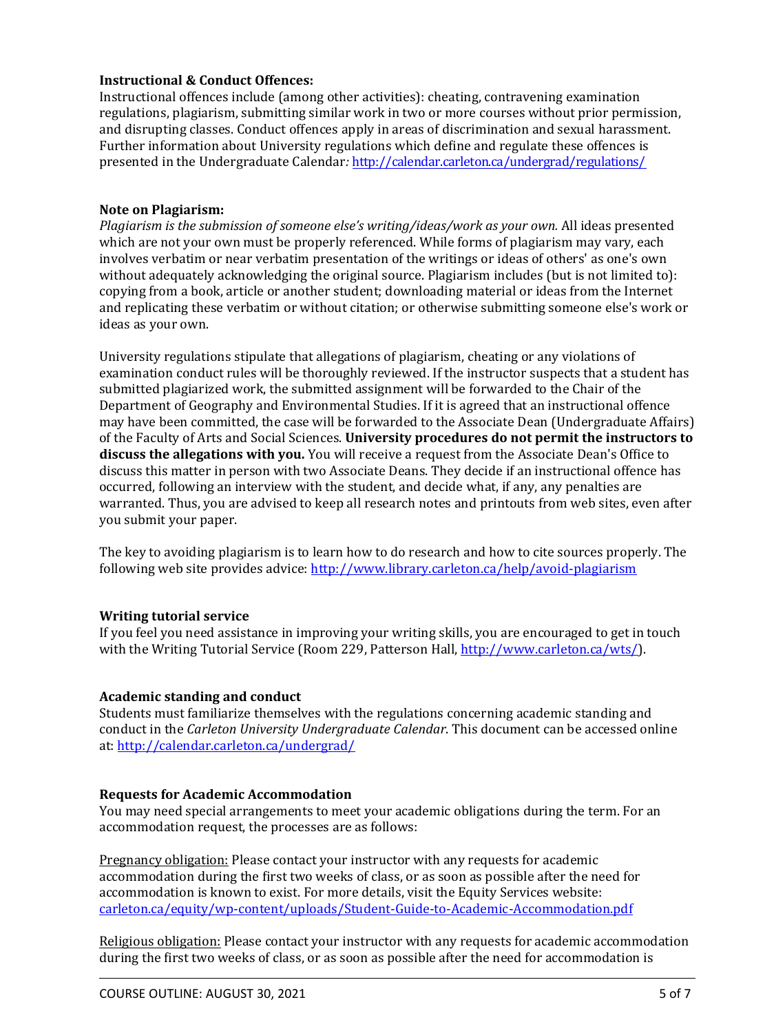# **Instructional & Conduct Offences:**

Instructional offences include (among other activities): cheating, contravening examination regulations, plagiarism, submitting similar work in two or more courses without prior permission, and disrupting classes. Conduct offences apply in areas of discrimination and sexual harassment. Further information about University regulations which define and regulate these offences is presented in the Undergraduate Calendar*:* http://calendar.carleton.ca/undergrad/regulations/

## **Note on Plagiarism:**

*Plagiarism is the submission of someone else's writing/ideas/work as your own.* All ideas presented which are not your own must be properly referenced. While forms of plagiarism may vary, each involves verbatim or near verbatim presentation of the writings or ideas of others' as one's own without adequately acknowledging the original source. Plagiarism includes (but is not limited to): copying from a book, article or another student; downloading material or ideas from the Internet and replicating these verbatim or without citation; or otherwise submitting someone else's work or ideas as your own.

University regulations stipulate that allegations of plagiarism, cheating or any violations of examination conduct rules will be thoroughly reviewed. If the instructor suspects that a student has submitted plagiarized work, the submitted assignment will be forwarded to the Chair of the Department of Geography and Environmental Studies. If it is agreed that an instructional offence may have been committed, the case will be forwarded to the Associate Dean (Undergraduate Affairs) of the Faculty of Arts and Social Sciences. **University procedures do not permit the instructors to discuss the allegations with you.** You will receive a request from the Associate Dean's Office to discuss this matter in person with two Associate Deans. They decide if an instructional offence has occurred, following an interview with the student, and decide what, if any, any penalties are warranted. Thus, you are advised to keep all research notes and printouts from web sites, even after you submit your paper.

The key to avoiding plagiarism is to learn how to do research and how to cite sources properly. The following web site provides advice: http://www.library.carleton.ca/help/avoid-plagiarism

# **Writing tutorial service**

If you feel you need assistance in improving your writing skills, you are encouraged to get in touch with the Writing Tutorial Service (Room 229, Patterson Hall, http://www.carleton.ca/wts/).

# **Academic standing and conduct**

Students must familiarize themselves with the regulations concerning academic standing and conduct in the *Carleton University Undergraduate Calendar*. This document can be accessed online at: http://calendar.carleton.ca/undergrad/

## **Requests for Academic Accommodation**

You may need special arrangements to meet your academic obligations during the term. For an accommodation request, the processes are as follows:

Pregnancy obligation: Please contact your instructor with any requests for academic accommodation during the first two weeks of class, or as soon as possible after the need for accommodation is known to exist. For more details, visit the Equity Services website: carleton.ca/equity/wp-content/uploads/Student-Guide-to-Academic-Accommodation.pdf

Religious obligation: Please contact your instructor with any requests for academic accommodation during the first two weeks of class, or as soon as possible after the need for accommodation is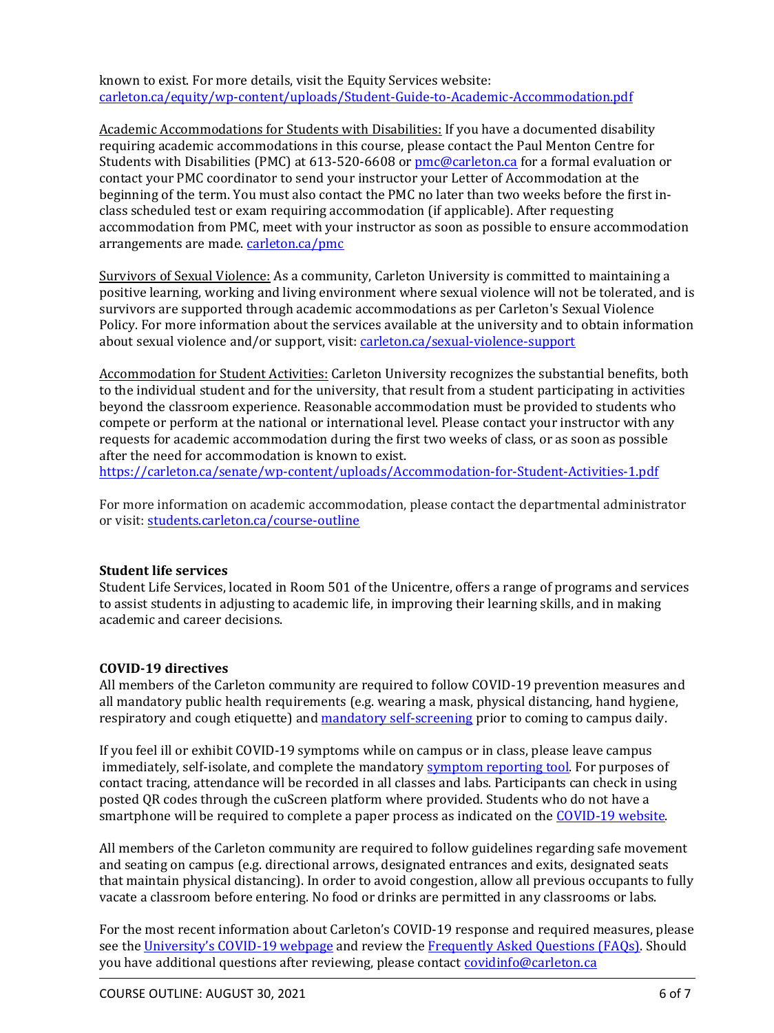known to exist. For more details, visit the Equity Services website: carleton.ca/equity/wp-content/uploads/Student-Guide-to-Academic-Accommodation.pdf

Academic Accommodations for Students with Disabilities: If you have a documented disability requiring academic accommodations in this course, please contact the Paul Menton Centre for Students with Disabilities (PMC) at 613-520-6608 or pmc@carleton.ca for a formal evaluation or contact your PMC coordinator to send your instructor your Letter of Accommodation at the beginning of the term. You must also contact the PMC no later than two weeks before the first inclass scheduled test or exam requiring accommodation (if applicable). After requesting accommodation from PMC, meet with your instructor as soon as possible to ensure accommodation arrangements are made. carleton.ca/pmc

Survivors of Sexual Violence: As a community, Carleton University is committed to maintaining a positive learning, working and living environment where sexual violence will not be tolerated, and is survivors are supported through academic accommodations as per Carleton's Sexual Violence Policy. For more information about the services available at the university and to obtain information about sexual violence and/or support, visit: carleton.ca/sexual-violence-support

Accommodation for Student Activities: Carleton University recognizes the substantial benefits, both to the individual student and for the university, that result from a student participating in activities beyond the classroom experience. Reasonable accommodation must be provided to students who compete or perform at the national or international level. Please contact your instructor with any requests for academic accommodation during the first two weeks of class, or as soon as possible after the need for accommodation is known to exist.

https://carleton.ca/senate/wp-content/uploads/Accommodation-for-Student-Activities-1.pdf

For more information on academic accommodation, please contact the departmental administrator or visit: students.carleton.ca/course-outline

## **Student life services**

Student Life Services, located in Room 501 of the Unicentre, offers a range of programs and services to assist students in adjusting to academic life, in improving their learning skills, and in making academic and career decisions.

## **COVID-19 directives**

All members of the Carleton community are required to follow COVID-19 prevention measures and all mandatory public health requirements (e.g. wearing a mask, physical distancing, hand hygiene, respiratory and cough etiquette) and mandatory self-screening prior to coming to campus daily.

If you feel ill or exhibit COVID-19 symptoms while on campus or in class, please leave campus immediately, self-isolate, and complete the mandatory symptom reporting tool. For purposes of contact tracing, attendance will be recorded in all classes and labs. Participants can check in using posted QR codes through the cuScreen platform where provided. Students who do not have a smartphone will be required to complete a paper process as indicated on the COVID-19 website.

All members of the Carleton community are required to follow guidelines regarding safe movement and seating on campus (e.g. directional arrows, designated entrances and exits, designated seats that maintain physical distancing). In order to avoid congestion, allow all previous occupants to fully vacate a classroom before entering. No food or drinks are permitted in any classrooms or labs.

For the most recent information about Carleton's COVID-19 response and required measures, please see the University's COVID-19 webpage and review the Frequently Asked Questions (FAQs). Should you have additional questions after reviewing, please contact covidinfo@carleton.ca